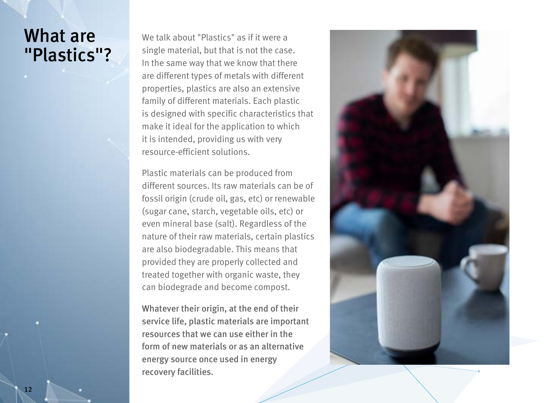## What are "Plastics"?

We talk about "Plastics" as if it were a single material, but that is not the case. In the same way that we know that there are different types of metals with different properties, plastics are also an extensive family of different materials. Each plastic is designed with specific characteristics that make it ideal for the application to which it is intended, providing us with very resource-efficient solutions.

Plastic materials can be produced from different sources. Its raw materials can be of fossil origin (crude oil, gas, etc) or renewable (sugar cane, starch, vegetable oils, etc) or even mineral base (salt). Regardless of the nature of their raw materials, certain plastics are also biodegradable. This means that provided they are properly collected and treated together with organic waste, they can biodegrade and become compost.

Whatever their origin, at the end of their service life, plastic materials are important resources that we can use either in the form of new materials or as an alternative energy source once used in energy recovery facilities.